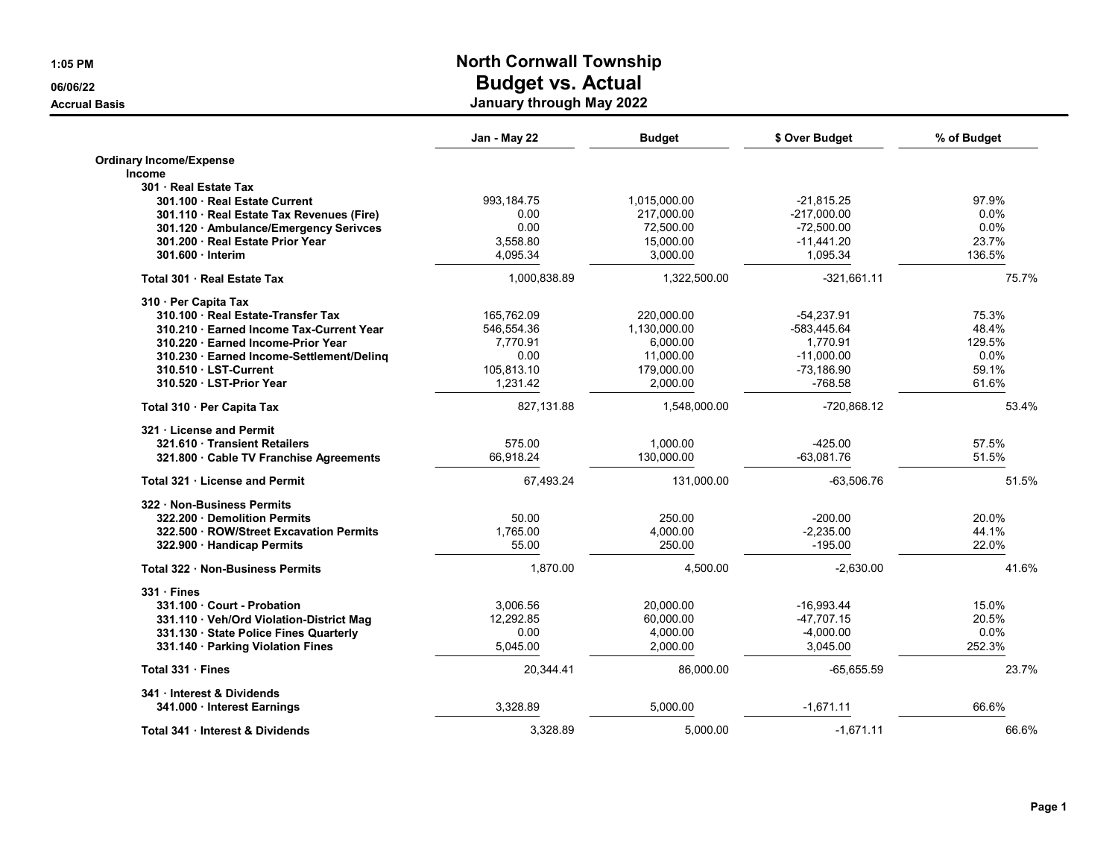|                                           | Jan - May 22 | <b>Budget</b> | \$ Over Budget | % of Budget |
|-------------------------------------------|--------------|---------------|----------------|-------------|
| <b>Ordinary Income/Expense</b>            |              |               |                |             |
| <b>Income</b>                             |              |               |                |             |
| 301 · Real Estate Tax                     |              |               |                |             |
| 301.100 Real Estate Current               | 993,184.75   | 1,015,000.00  | $-21,815.25$   | 97.9%       |
| 301.110 · Real Estate Tax Revenues (Fire) | 0.00         | 217,000.00    | $-217,000.00$  | 0.0%        |
| 301.120 · Ambulance/Emergency Serivces    | 0.00         | 72,500.00     | $-72,500.00$   | 0.0%        |
| 301.200 · Real Estate Prior Year          | 3,558.80     | 15,000.00     | $-11.441.20$   | 23.7%       |
| 301.600 Interim                           | 4,095.34     | 3,000.00      | 1,095.34       | 136.5%      |
| Total 301 · Real Estate Tax               | 1,000,838.89 | 1,322,500.00  | $-321,661.11$  | 75.7%       |
| 310 · Per Capita Tax                      |              |               |                |             |
| 310.100 · Real Estate-Transfer Tax        | 165,762.09   | 220,000.00    | $-54,237.91$   | 75.3%       |
| 310.210 Earned Income Tax-Current Year    | 546,554.36   | 1,130,000.00  | -583.445.64    | 48.4%       |
| 310.220 · Earned Income-Prior Year        | 7,770.91     | 6,000.00      | 1,770.91       | 129.5%      |
| 310.230 · Earned Income-Settlement/Deling | 0.00         | 11,000.00     | $-11,000.00$   | 0.0%        |
| 310.510 · LST-Current                     | 105.813.10   | 179.000.00    | -73.186.90     | 59.1%       |
| 310.520 · LST-Prior Year                  | 1,231.42     | 2,000.00      | -768.58        | 61.6%       |
| Total 310 · Per Capita Tax                | 827,131.88   | 1,548,000.00  | -720,868.12    | 53.4%       |
| 321 License and Permit                    |              |               |                |             |
| 321.610 Transient Retailers               | 575.00       | 1,000.00      | $-425.00$      | 57.5%       |
| 321.800 Cable TV Franchise Agreements     | 66.918.24    | 130,000.00    | $-63.081.76$   | 51.5%       |
| Total 321 . License and Permit            | 67,493.24    | 131,000.00    | $-63,506.76$   | 51.5%       |
| 322 Non-Business Permits                  |              |               |                |             |
| 322.200 Demolition Permits                | 50.00        | 250.00        | $-200.00$      | 20.0%       |
| 322.500 · ROW/Street Excavation Permits   | 1,765.00     | 4,000.00      | $-2,235.00$    | 44.1%       |
| 322.900 · Handicap Permits                | 55.00        | 250.00        | $-195.00$      | 22.0%       |
| Total 322 Non-Business Permits            | 1.870.00     | 4.500.00      | $-2.630.00$    | 41.6%       |
| $331 \cdot$ Fines                         |              |               |                |             |
| 331.100 Court - Probation                 | 3.006.56     | 20.000.00     | -16.993.44     | 15.0%       |
| 331.110 · Veh/Ord Violation-District Mag  | 12,292.85    | 60,000.00     | $-47,707.15$   | 20.5%       |
| 331.130 State Police Fines Quarterly      | 0.00         | 4,000.00      | $-4,000.00$    | $0.0\%$     |
| 331.140 · Parking Violation Fines         | 5,045.00     | 2,000.00      | 3,045.00       | 252.3%      |
| Total 331 · Fines                         | 20,344.41    | 86.000.00     | $-65.655.59$   | 23.7%       |
| 341 · Interest & Dividends                |              |               |                |             |
| 341.000 - Interest Earnings               | 3,328.89     | 5,000.00      | $-1,671.11$    | 66.6%       |
| Total 341 · Interest & Dividends          | 3,328.89     | 5,000.00      | $-1,671.11$    | 66.6%       |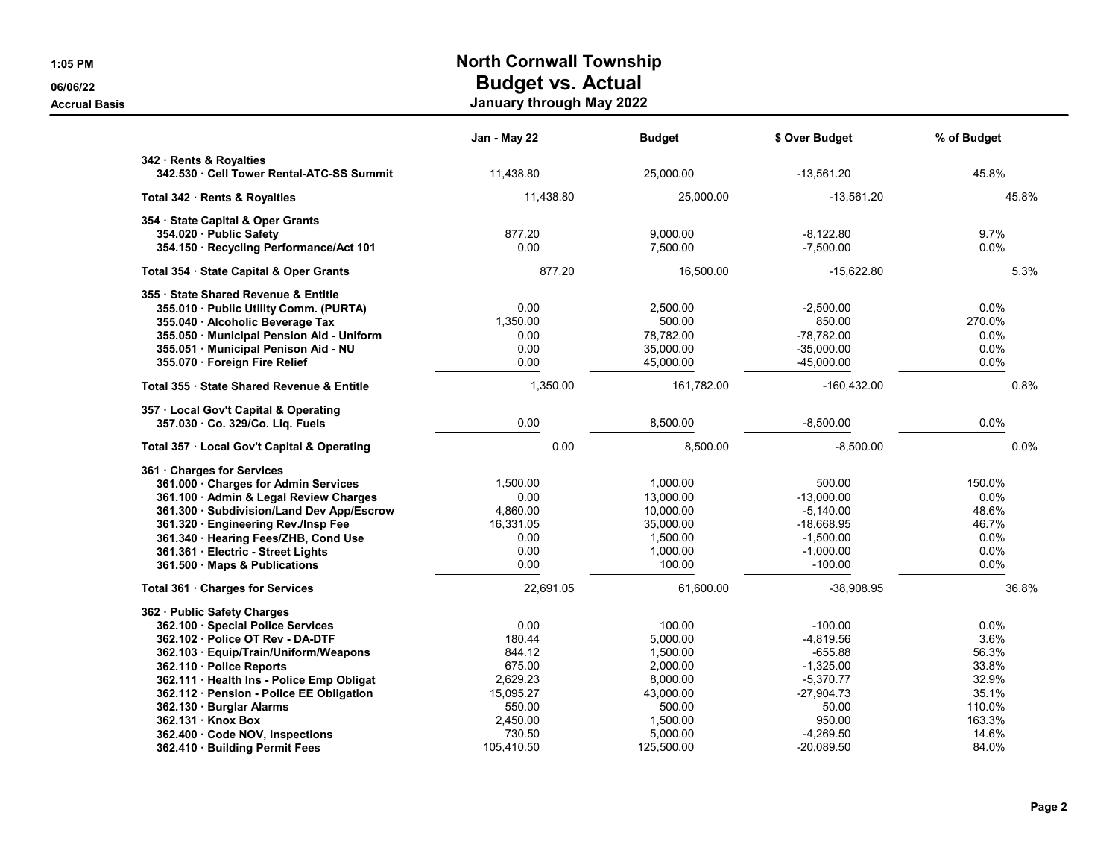|                                                                    | Jan - May 22 | Budget     | \$ Over Budget | % of Budget |
|--------------------------------------------------------------------|--------------|------------|----------------|-------------|
| 342 · Rents & Royalties<br>342.530 Cell Tower Rental-ATC-SS Summit | 11,438.80    | 25,000.00  | $-13,561.20$   | 45.8%       |
| Total 342 · Rents & Royalties                                      | 11,438.80    | 25,000.00  | $-13,561.20$   | 45.8%       |
| 354 · State Capital & Oper Grants                                  |              |            |                |             |
| 354.020 · Public Safety                                            | 877.20       | 9,000.00   | $-8,122.80$    | 9.7%        |
| 354.150 · Recycling Performance/Act 101                            | 0.00         | 7,500.00   | $-7,500.00$    | 0.0%        |
| Total 354 · State Capital & Oper Grants                            | 877.20       | 16,500.00  | $-15,622.80$   | 5.3%        |
| 355 · State Shared Revenue & Entitle                               |              |            |                |             |
| 355.010 · Public Utility Comm. (PURTA)                             | 0.00         | 2,500.00   | $-2,500.00$    | 0.0%        |
| 355.040 · Alcoholic Beverage Tax                                   | 1,350.00     | 500.00     | 850.00         | 270.0%      |
| 355.050 · Municipal Pension Aid - Uniform                          | 0.00         | 78.782.00  | $-78.782.00$   | $0.0\%$     |
| 355.051 Municipal Penison Aid - NU                                 | 0.00         | 35,000.00  | $-35,000.00$   | 0.0%        |
| 355.070 · Foreign Fire Relief                                      | 0.00         | 45,000.00  | $-45,000.00$   | 0.0%        |
| Total 355 · State Shared Revenue & Entitle                         | 1,350.00     | 161,782.00 | $-160,432.00$  | 0.8%        |
| 357 · Local Gov't Capital & Operating                              |              |            |                |             |
| 357.030 Co. 329/Co. Liq. Fuels                                     | 0.00         | 8,500.00   | $-8,500.00$    | 0.0%        |
| Total 357 · Local Gov't Capital & Operating                        | 0.00         | 8,500.00   | $-8,500.00$    | 0.0%        |
| 361 Charges for Services                                           |              |            |                |             |
| 361.000 Charges for Admin Services                                 | 1,500.00     | 1.000.00   | 500.00         | 150.0%      |
| 361.100 · Admin & Legal Review Charges                             | 0.00         | 13,000.00  | $-13,000.00$   | 0.0%        |
| 361.300 · Subdivision/Land Dev App/Escrow                          | 4,860.00     | 10,000.00  | $-5,140.00$    | 48.6%       |
| 361.320 · Engineering Rev./Insp Fee                                | 16,331.05    | 35,000.00  | -18,668.95     | 46.7%       |
| 361.340 · Hearing Fees/ZHB, Cond Use                               | 0.00         | 1,500.00   | $-1,500.00$    | 0.0%        |
| 361.361 · Electric - Street Lights                                 | 0.00         | 1,000.00   | $-1,000.00$    | 0.0%        |
| 361.500 Maps & Publications                                        | 0.00         | 100.00     | $-100.00$      | 0.0%        |
| Total 361 · Charges for Services                                   | 22,691.05    | 61,600.00  | $-38,908.95$   | 36.8%       |
| 362 · Public Safety Charges                                        |              |            |                |             |
| 362.100 · Special Police Services                                  | 0.00         | 100.00     | $-100.00$      | 0.0%        |
| 362.102 Police OT Rev - DA-DTF                                     | 180.44       | 5,000.00   | $-4,819.56$    | 3.6%        |
| 362.103 · Equip/Train/Uniform/Weapons                              | 844.12       | 1,500.00   | $-655.88$      | 56.3%       |
| 362.110 · Police Reports                                           | 675.00       | 2.000.00   | $-1.325.00$    | 33.8%       |
| 362.111 · Health Ins - Police Emp Obligat                          | 2,629.23     | 8,000.00   | $-5,370.77$    | 32.9%       |
| 362.112 · Pension - Police EE Obligation                           | 15,095.27    | 43,000.00  | $-27,904.73$   | 35.1%       |
| 362.130 · Burglar Alarms                                           | 550.00       | 500.00     | 50.00          | 110.0%      |
| 362.131 Knox Box                                                   | 2,450.00     | 1,500.00   | 950.00         | 163.3%      |
| 362.400 · Code NOV, Inspections                                    | 730.50       | 5.000.00   | $-4.269.50$    | 14.6%       |
| 362.410 · Building Permit Fees                                     | 105.410.50   | 125.500.00 | $-20.089.50$   | 84.0%       |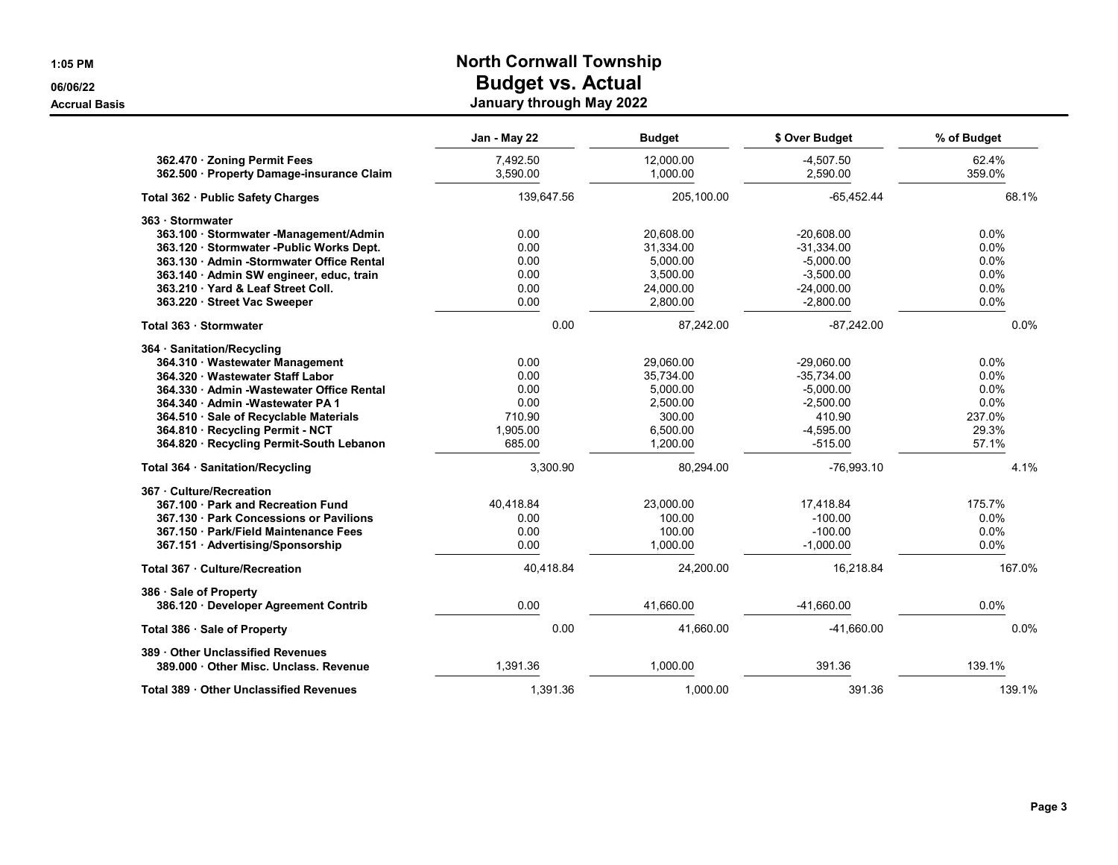|                                            | Jan - May 22 | <b>Budget</b> | \$ Over Budget | % of Budget |
|--------------------------------------------|--------------|---------------|----------------|-------------|
| 362.470 · Zoning Permit Fees               | 7,492.50     | 12,000.00     | $-4,507.50$    | 62.4%       |
| 362.500 · Property Damage-insurance Claim  | 3,590.00     | 1,000.00      | 2,590.00       | 359.0%      |
| Total 362 · Public Safety Charges          | 139,647.56   | 205,100.00    | $-65,452.44$   | 68.1%       |
| 363 · Stormwater                           |              |               |                |             |
| 363.100 · Stormwater -Management/Admin     | 0.00         | 20,608.00     | $-20,608.00$   | $0.0\%$     |
| 363.120 · Stormwater - Public Works Dept.  | 0.00         | 31,334.00     | $-31,334.00$   | $0.0\%$     |
| 363.130 Admin - Stormwater Office Rental   | 0.00         | 5,000.00      | $-5,000.00$    | 0.0%        |
| 363.140 · Admin SW engineer, educ, train   | 0.00         | 3,500.00      | $-3,500.00$    | $0.0\%$     |
| 363.210 Yard & Leaf Street Coll.           | 0.00         | 24,000.00     | $-24,000.00$   | 0.0%        |
| 363.220 · Street Vac Sweeper               | 0.00         | 2,800.00      | $-2,800.00$    | 0.0%        |
| Total 363 · Stormwater                     | 0.00         | 87,242.00     | $-87,242.00$   | 0.0%        |
| 364 · Sanitation/Recycling                 |              |               |                |             |
| 364.310 · Wastewater Management            | 0.00         | 29,060.00     | $-29,060.00$   | $0.0\%$     |
| 364.320 · Wastewater Staff Labor           | 0.00         | 35,734.00     | $-35,734.00$   | $0.0\%$     |
| 364.330 · Admin - Wastewater Office Rental | 0.00         | 5,000.00      | $-5,000.00$    | 0.0%        |
| 364.340 Admin - Wastewater PA 1            | 0.00         | 2,500.00      | $-2,500.00$    | 0.0%        |
| 364.510 · Sale of Recyclable Materials     | 710.90       | 300.00        | 410.90         | 237.0%      |
| 364.810 · Recycling Permit - NCT           | 1,905.00     | 6,500.00      | $-4,595.00$    | 29.3%       |
| 364.820 · Recycling Permit-South Lebanon   | 685.00       | 1,200.00      | $-515.00$      | 57.1%       |
| Total 364 · Sanitation/Recycling           | 3,300.90     | 80.294.00     | $-76,993.10$   | 4.1%        |
| 367 · Culture/Recreation                   |              |               |                |             |
| 367.100 Park and Recreation Fund           | 40.418.84    | 23,000.00     | 17,418.84      | 175.7%      |
| 367.130 Park Concessions or Pavilions      | 0.00         | 100.00        | $-100.00$      | 0.0%        |
| 367.150 · Park/Field Maintenance Fees      | 0.00         | 100.00        | $-100.00$      | $0.0\%$     |
| 367.151 Advertising/Sponsorship            | 0.00         | 1,000.00      | $-1,000.00$    | 0.0%        |
| Total 367 · Culture/Recreation             | 40,418.84    | 24,200.00     | 16,218.84      | 167.0%      |
| 386 · Sale of Property                     |              |               |                |             |
| 386.120 Developer Agreement Contrib        | 0.00         | 41,660.00     | $-41,660.00$   | 0.0%        |
| Total 386 · Sale of Property               | 0.00         | 41,660.00     | $-41,660.00$   | 0.0%        |
| 389 Other Unclassified Revenues            |              |               |                |             |
| 389.000 Other Misc. Unclass. Revenue       | 1.391.36     | 1.000.00      | 391.36         | 139.1%      |
| Total 389 · Other Unclassified Revenues    | 1.391.36     | 1.000.00      | 391.36         | 139.1%      |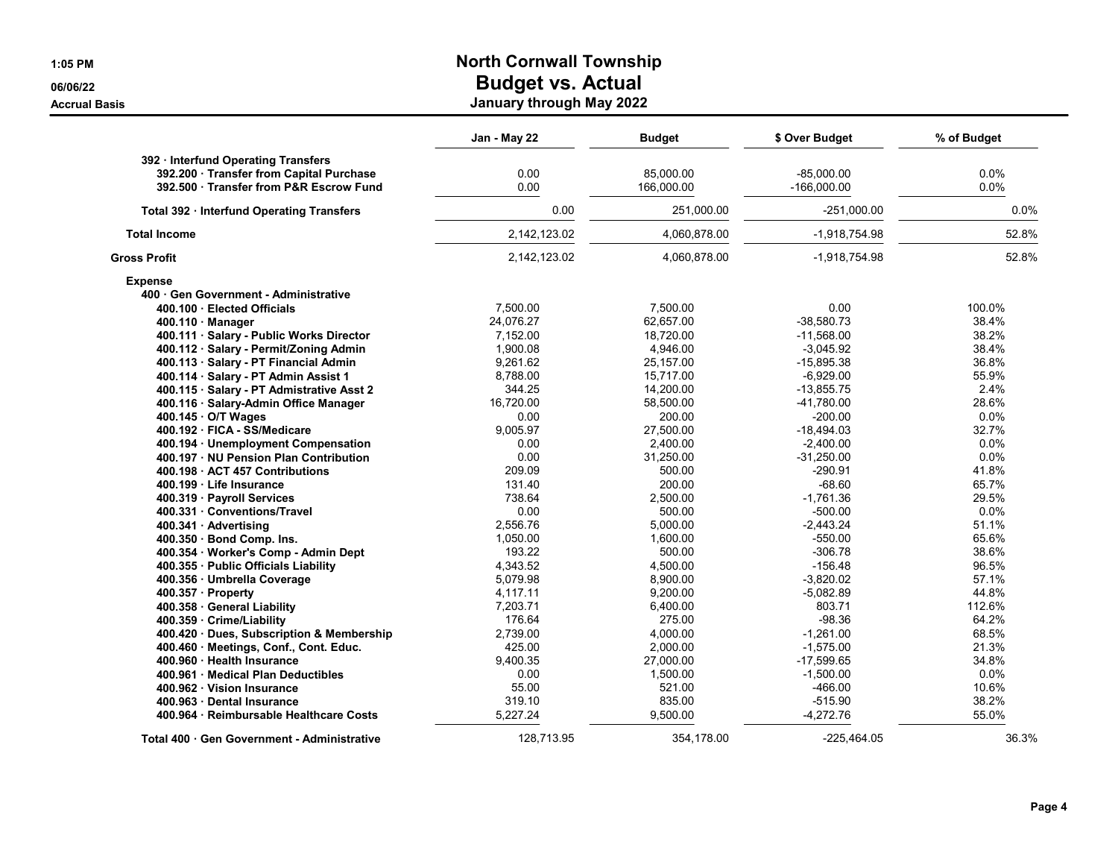|                                           | Jan - May 22 | <b>Budget</b> | \$ Over Budget | % of Budget |
|-------------------------------------------|--------------|---------------|----------------|-------------|
| 392 · Interfund Operating Transfers       |              |               |                |             |
| 392.200 Transfer from Capital Purchase    | 0.00         | 85.000.00     | $-85.000.00$   | 0.0%        |
| 392.500 Transfer from P&R Escrow Fund     | 0.00         | 166.000.00    | $-166.000.00$  | $0.0\%$     |
| Total 392 · Interfund Operating Transfers | 0.00         | 251,000.00    | $-251,000.00$  | $0.0\%$     |
| <b>Total Income</b>                       | 2.142.123.02 | 4,060,878.00  | -1.918.754.98  | 52.8%       |
| <b>Gross Profit</b>                       | 2,142,123.02 | 4,060,878.00  | -1,918,754.98  | 52.8%       |
| <b>Expense</b>                            |              |               |                |             |
| 400 Gen Government - Administrative       |              |               |                |             |
| 400.100 · Elected Officials               | 7,500.00     | 7,500.00      | 0.00           | 100.0%      |
| $400.110$ Manager                         | 24,076.27    | 62,657.00     | $-38,580.73$   | 38.4%       |
| 400.111 · Salary - Public Works Director  | 7,152.00     | 18,720.00     | $-11,568.00$   | 38.2%       |
| 400.112 · Salary - Permit/Zoning Admin    | 1,900.08     | 4,946.00      | $-3,045.92$    | 38.4%       |
| 400.113 · Salary - PT Financial Admin     | 9.261.62     | 25,157.00     | $-15,895.38$   | 36.8%       |
| 400.114 · Salary - PT Admin Assist 1      | 8.788.00     | 15,717.00     | $-6,929.00$    | 55.9%       |
| 400.115 · Salary - PT Admistrative Asst 2 | 344.25       | 14,200.00     | $-13,855.75$   | 2.4%        |
| 400.116 · Salary-Admin Office Manager     | 16,720.00    | 58,500.00     | -41,780.00     | 28.6%       |
| 400.145 O/T Wages                         | 0.00         | 200.00        | $-200.00$      | 0.0%        |
| 400.192 · FICA - SS/Medicare              | 9.005.97     | 27.500.00     | $-18.494.03$   | 32.7%       |
| 400.194 · Unemployment Compensation       | 0.00         | 2,400.00      | $-2,400.00$    | 0.0%        |
| 400.197 · NU Pension Plan Contribution    | 0.00         | 31,250.00     | $-31,250.00$   | 0.0%        |
| 400.198 ACT 457 Contributions             | 209.09       | 500.00        | $-290.91$      | 41.8%       |
| 400.199 Life Insurance                    | 131.40       | 200.00        | $-68.60$       | 65.7%       |
| 400.319 · Payroll Services                | 738.64       | 2,500.00      | $-1.761.36$    | 29.5%       |
| 400.331 Conventions/Travel                | 0.00         | 500.00        | $-500.00$      | 0.0%        |
| 400.341 Advertising                       | 2,556.76     | 5,000.00      | $-2,443.24$    | 51.1%       |
| 400.350 · Bond Comp. Ins.                 | 1,050.00     | 1.600.00      | $-550.00$      | 65.6%       |
| 400.354 · Worker's Comp - Admin Dept      | 193.22       | 500.00        | $-306.78$      | 38.6%       |
| 400.355 · Public Officials Liability      | 4,343.52     | 4,500.00      | $-156.48$      | 96.5%       |
| 400.356 · Umbrella Coverage               | 5,079.98     | 8,900.00      | $-3,820.02$    | 57.1%       |
| 400.357 Property                          | 4,117.11     | 9,200.00      | $-5,082.89$    | 44.8%       |
| 400.358 · General Liability               | 7,203.71     | 6,400.00      | 803.71         | 112.6%      |
| 400.359 Crime/Liability                   | 176.64       | 275.00        | $-98.36$       | 64.2%       |
| 400.420 · Dues, Subscription & Membership | 2,739.00     | 4,000.00      | $-1.261.00$    | 68.5%       |
| 400.460 · Meetings, Conf., Cont. Educ.    | 425.00       | 2,000.00      | $-1,575.00$    | 21.3%       |
| 400.960 · Health Insurance                | 9,400.35     | 27,000.00     | $-17,599.65$   | 34.8%       |
| 400.961 Medical Plan Deductibles          | 0.00         | 1,500.00      | $-1,500.00$    | $0.0\%$     |
| 400.962 Vision Insurance                  | 55.00        | 521.00        | $-466.00$      | 10.6%       |
| 400.963 Dental Insurance                  | 319.10       | 835.00        | $-515.90$      | 38.2%       |
| 400.964 · Reimbursable Healthcare Costs   | 5,227.24     | 9,500.00      | $-4,272.76$    | 55.0%       |
| Total 400 Gen Government - Administrative | 128.713.95   | 354.178.00    | $-225.464.05$  | 36.3%       |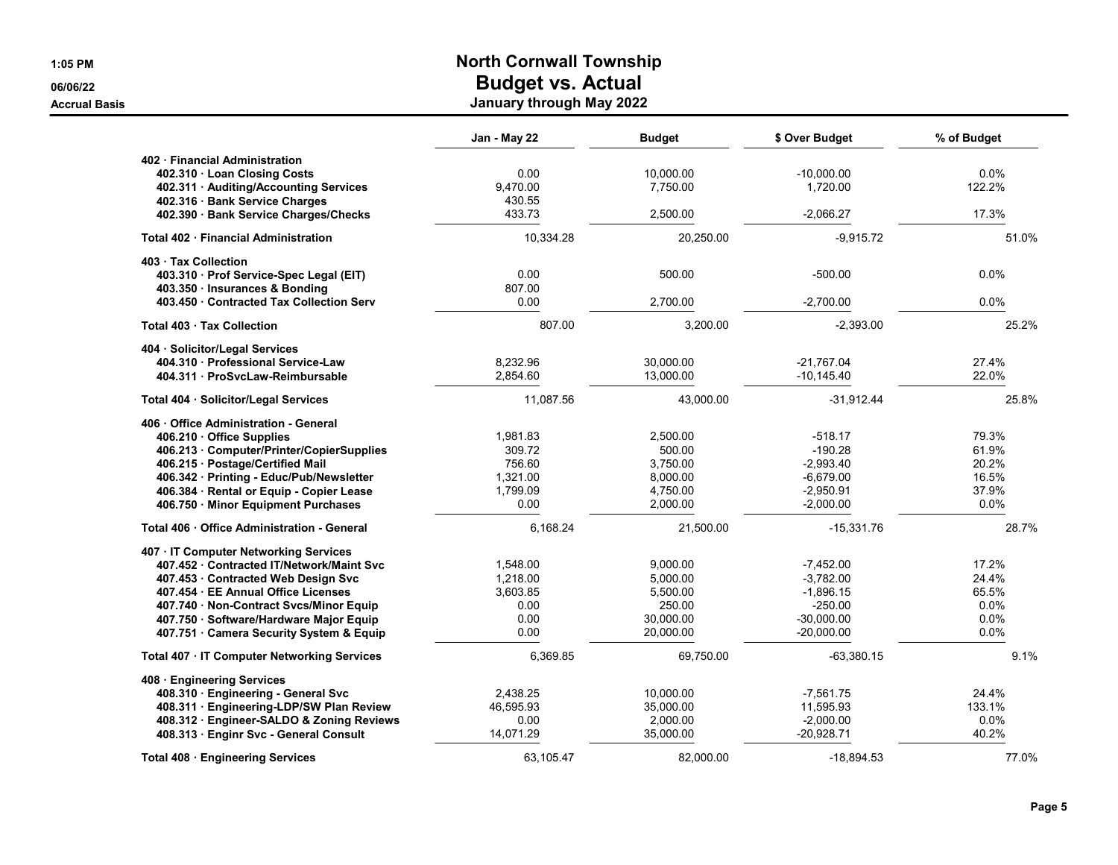| ٩ | л<br>н<br>ı<br>w |
|---|------------------|
|---|------------------|

|                                                                         | Jan - May 22     | <b>Budget</b> | \$ Over Budget | % of Budget |
|-------------------------------------------------------------------------|------------------|---------------|----------------|-------------|
| 402 Financial Administration                                            |                  |               |                |             |
| 402.310 Loan Closing Costs                                              | 0.00             | 10,000.00     | $-10,000.00$   | $0.0\%$     |
| 402.311 · Auditing/Accounting Services                                  | 9,470.00         | 7,750.00      | 1,720.00       | 122.2%      |
| 402.316 · Bank Service Charges<br>402.390 · Bank Service Charges/Checks | 430.55<br>433.73 | 2,500.00      | $-2,066.27$    | 17.3%       |
| Total 402 · Financial Administration                                    | 10,334.28        | 20,250.00     | $-9,915.72$    | 51.0%       |
| 403 Tax Collection                                                      |                  |               |                |             |
| 403.310 · Prof Service-Spec Legal (EIT)                                 | 0.00             | 500.00        | $-500.00$      | 0.0%        |
| 403.350 · Insurances & Bonding                                          | 807.00           |               |                |             |
| 403.450 Contracted Tax Collection Serv                                  | 0.00             | 2.700.00      | $-2.700.00$    | $0.0\%$     |
| Total 403 · Tax Collection                                              | 807.00           | 3,200.00      | $-2.393.00$    | 25.2%       |
| 404 · Solicitor/Legal Services                                          |                  |               |                |             |
| 404.310 Professional Service-Law                                        | 8,232.96         | 30,000.00     | -21,767.04     | 27.4%       |
| 404.311 ProSycLaw-Reimbursable                                          | 2.854.60         | 13,000.00     | $-10,145.40$   | 22.0%       |
| Total 404 · Solicitor/Legal Services                                    | 11.087.56        | 43.000.00     | $-31.912.44$   | 25.8%       |
| 406 Office Administration - General                                     |                  |               |                |             |
| 406.210 · Office Supplies                                               | 1,981.83         | 2,500.00      | $-518.17$      | 79.3%       |
| 406.213 · Computer/Printer/CopierSupplies                               | 309.72           | 500.00        | $-190.28$      | 61.9%       |
| 406.215 · Postage/Certified Mail                                        | 756.60           | 3,750.00      | $-2,993.40$    | 20.2%       |
| 406.342 · Printing - Educ/Pub/Newsletter                                | 1,321.00         | 8,000.00      | $-6,679.00$    | 16.5%       |
| 406.384 · Rental or Equip - Copier Lease                                | 1,799.09         | 4,750.00      | $-2,950.91$    | 37.9%       |
| 406.750 · Minor Equipment Purchases                                     | 0.00             | 2,000.00      | $-2,000.00$    | 0.0%        |
| Total 406 · Office Administration - General                             | 6,168.24         | 21,500.00     | $-15,331.76$   | 28.7%       |
| 407 · IT Computer Networking Services                                   |                  |               |                |             |
| 407.452 Contracted IT/Network/Maint Svc                                 | 1,548.00         | 9,000.00      | $-7,452.00$    | 17.2%       |
| 407.453 Contracted Web Design Svc                                       | 1,218.00         | 5,000.00      | $-3,782.00$    | 24.4%       |
| 407.454 EE Annual Office Licenses                                       | 3,603.85         | 5,500.00      | $-1,896.15$    | 65.5%       |
| 407.740 · Non-Contract Svcs/Minor Equip                                 | 0.00             | 250.00        | $-250.00$      | 0.0%        |
| 407.750 · Software/Hardware Major Equip                                 | 0.00             | 30,000.00     | $-30,000.00$   | 0.0%        |
| 407.751 · Camera Security System & Equip                                | 0.00             | 20,000.00     | $-20,000.00$   | 0.0%        |
| Total 407 · IT Computer Networking Services                             | 6,369.85         | 69,750.00     | $-63,380.15$   | 9.1%        |
| 408 · Engineering Services                                              |                  |               |                |             |
| 408.310 · Engineering - General Svc                                     | 2,438.25         | 10,000.00     | $-7,561.75$    | 24.4%       |
| 408.311 · Engineering-LDP/SW Plan Review                                | 46,595.93        | 35,000.00     | 11,595.93      | 133.1%      |
| 408.312 · Engineer-SALDO & Zoning Reviews                               | 0.00             | 2,000.00      | $-2,000.00$    | 0.0%        |
| 408.313 Enginr Svc - General Consult                                    | 14,071.29        | 35,000.00     | $-20,928.71$   | 40.2%       |
| Total 408 · Engineering Services                                        | 63.105.47        | 82.000.00     | $-18.894.53$   | 77.0%       |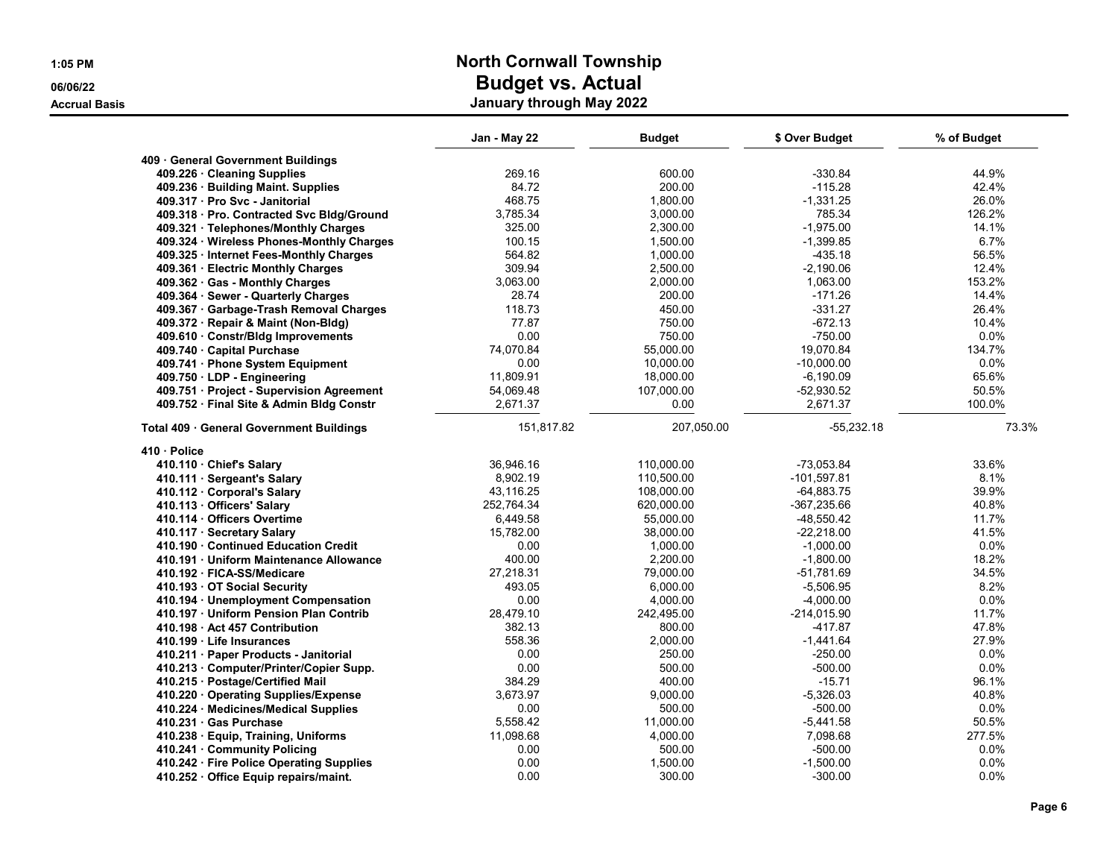|  | 1:05 PM |
|--|---------|
|  |         |

|                                           | Jan - May 22 | <b>Budget</b> | \$ Over Budget | % of Budget |
|-------------------------------------------|--------------|---------------|----------------|-------------|
|                                           |              |               |                |             |
| 409 General Government Buildings          | 269.16       | 600.00        | -330.84        | 44.9%       |
| 409.226 · Cleaning Supplies               | 84.72        |               | $-115.28$      |             |
| 409.236 · Building Maint. Supplies        |              | 200.00        |                | 42.4%       |
| 409.317 · Pro Svc - Janitorial            | 468.75       | 1,800.00      | $-1,331.25$    | 26.0%       |
| 409.318 · Pro. Contracted Svc Bldg/Ground | 3,785.34     | 3,000.00      | 785.34         | 126.2%      |
| 409.321 · Telephones/Monthly Charges      | 325.00       | 2,300.00      | $-1,975.00$    | 14.1%       |
| 409.324 · Wireless Phones-Monthly Charges | 100.15       | 1,500.00      | $-1,399.85$    | 6.7%        |
| 409.325 · Internet Fees-Monthly Charges   | 564.82       | 1,000.00      | $-435.18$      | 56.5%       |
| 409.361 · Electric Monthly Charges        | 309.94       | 2,500.00      | $-2,190.06$    | 12.4%       |
| 409.362 · Gas - Monthly Charges           | 3,063.00     | 2,000.00      | 1,063.00       | 153.2%      |
| 409.364 · Sewer - Quarterly Charges       | 28.74        | 200.00        | $-171.26$      | 14.4%       |
| 409.367 · Garbage-Trash Removal Charges   | 118.73       | 450.00        | $-331.27$      | 26.4%       |
| 409.372 · Repair & Maint (Non-Bldg)       | 77.87        | 750.00        | $-672.13$      | 10.4%       |
| 409.610 · Constr/Bldg Improvements        | 0.00         | 750.00        | $-750.00$      | 0.0%        |
| 409.740 · Capital Purchase                | 74,070.84    | 55,000.00     | 19,070.84      | 134.7%      |
| 409.741 · Phone System Equipment          | 0.00         | 10.000.00     | $-10.000.00$   | 0.0%        |
| 409.750 · LDP - Engineering               | 11,809.91    | 18,000.00     | $-6,190.09$    | 65.6%       |
| 409.751 · Project - Supervision Agreement | 54,069.48    | 107,000.00    | $-52,930.52$   | 50.5%       |
| 409.752 · Final Site & Admin Bldg Constr  | 2,671.37     | 0.00          | 2,671.37       | 100.0%      |
| Total 409 · General Government Buildings  | 151,817.82   | 207,050.00    | $-55,232.18$   | 73.3%       |
| 410 · Police                              |              |               |                |             |
| 410.110 · Chief's Salary                  | 36.946.16    | 110.000.00    | $-73,053.84$   | 33.6%       |
| 410.111 · Sergeant's Salary               | 8,902.19     | 110,500.00    | $-101,597.81$  | 8.1%        |
| 410.112 Corporal's Salary                 | 43,116.25    | 108,000.00    | $-64,883.75$   | 39.9%       |
| 410.113 Officers' Salary                  | 252.764.34   | 620,000.00    | $-367,235.66$  | 40.8%       |
| 410.114 Officers Overtime                 | 6,449.58     | 55,000.00     | $-48,550.42$   | 11.7%       |
| 410.117 · Secretary Salary                | 15,782.00    | 38,000.00     | $-22,218.00$   | 41.5%       |
| 410.190 Continued Education Credit        | 0.00         | 1,000.00      | $-1,000.00$    | 0.0%        |
| 410.191 Uniform Maintenance Allowance     | 400.00       | 2,200.00      | $-1,800.00$    | 18.2%       |
| 410.192 FICA-SS/Medicare                  | 27,218.31    | 79,000.00     | -51,781.69     | 34.5%       |
| 410.193 OT Social Security                | 493.05       | 6,000.00      | $-5,506.95$    | 8.2%        |
| 410.194 · Unemployment Compensation       | 0.00         | 4,000.00      | $-4,000.00$    | 0.0%        |
| 410.197 · Uniform Pension Plan Contrib    | 28,479.10    | 242,495.00    | $-214,015.90$  | 11.7%       |
| 410.198 Act 457 Contribution              | 382.13       | 800.00        | $-417.87$      | 47.8%       |
| 410.199 · Life Insurances                 | 558.36       | 2,000.00      | $-1,441.64$    | 27.9%       |
| 410.211 · Paper Products - Janitorial     | 0.00         | 250.00        | $-250.00$      | 0.0%        |
| 410.213 Computer/Printer/Copier Supp.     | 0.00         | 500.00        | $-500.00$      | 0.0%        |
|                                           | 384.29       | 400.00        | $-15.71$       | 96.1%       |
| 410.215 · Postage/Certified Mail          | 3,673.97     | 9,000.00      | $-5,326.03$    | 40.8%       |
| 410.220 · Operating Supplies/Expense      |              |               |                |             |
| 410.224 Medicines/Medical Supplies        | 0.00         | 500.00        | $-500.00$      | 0.0%        |
| 410.231 Gas Purchase                      | 5,558.42     | 11,000.00     | $-5,441.58$    | 50.5%       |
| 410.238 · Equip, Training, Uniforms       | 11,098.68    | 4,000.00      | 7,098.68       | 277.5%      |
| 410.241 Community Policing                | 0.00         | 500.00        | $-500.00$      | 0.0%        |
| 410.242 · Fire Police Operating Supplies  | 0.00         | 1,500.00      | $-1,500.00$    | 0.0%        |
| 410.252 · Office Equip repairs/maint.     | 0.00         | 300.00        | $-300.00$      | 0.0%        |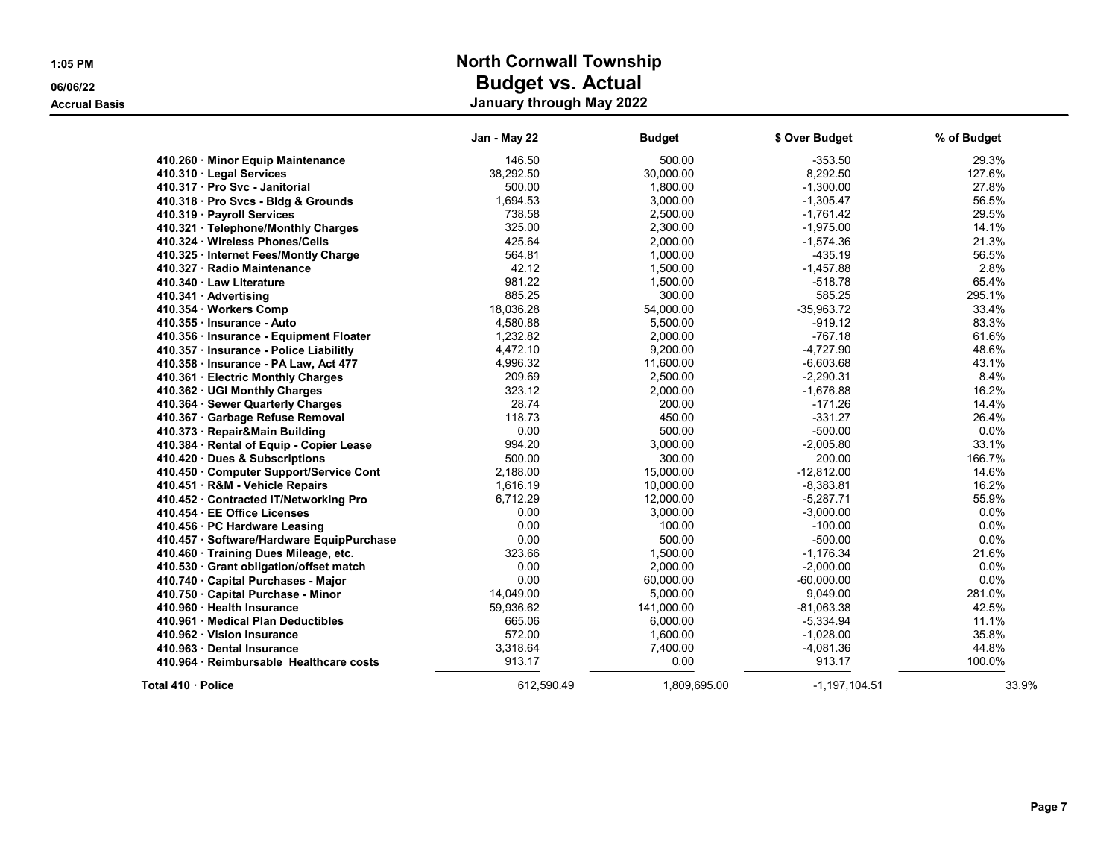|                                           | Jan - May 22 | <b>Budget</b> | \$ Over Budget    | % of Budget |
|-------------------------------------------|--------------|---------------|-------------------|-------------|
| 410.260 Minor Equip Maintenance           | 146.50       | 500.00        | $-353.50$         | 29.3%       |
| 410.310 · Legal Services                  | 38,292.50    | 30,000.00     | 8,292.50          | 127.6%      |
| 410.317 · Pro Svc - Janitorial            | 500.00       | 1,800.00      | $-1,300.00$       | 27.8%       |
| 410.318 · Pro Svcs - Bldg & Grounds       | 1,694.53     | 3,000.00      | $-1,305.47$       | 56.5%       |
| 410.319 · Payroll Services                | 738.58       | 2,500.00      | $-1,761.42$       | 29.5%       |
| 410.321 · Telephone/Monthly Charges       | 325.00       | 2,300.00      | $-1,975.00$       | 14.1%       |
| 410.324 · Wireless Phones/Cells           | 425.64       | 2,000.00      | $-1,574.36$       | 21.3%       |
| 410.325 · Internet Fees/Montly Charge     | 564.81       | 1,000.00      | $-435.19$         | 56.5%       |
| 410.327 · Radio Maintenance               | 42.12        | 1,500.00      | $-1,457.88$       | 2.8%        |
| 410.340 Law Literature                    | 981.22       | 1,500.00      | $-518.78$         | 65.4%       |
| 410.341 Advertising                       | 885.25       | 300.00        | 585.25            | 295.1%      |
| 410.354 · Workers Comp                    | 18,036.28    | 54,000.00     | $-35,963.72$      | 33.4%       |
| 410.355 · Insurance - Auto                | 4,580.88     | 5,500.00      | $-919.12$         | 83.3%       |
| 410.356 · Insurance - Equipment Floater   | 1,232.82     | 2,000.00      | $-767.18$         | 61.6%       |
| 410.357 · Insurance - Police Liabilitly   | 4,472.10     | 9,200.00      | $-4,727.90$       | 48.6%       |
| 410.358 · Insurance - PA Law, Act 477     | 4,996.32     | 11,600.00     | $-6,603.68$       | 43.1%       |
| 410.361 · Electric Monthly Charges        | 209.69       | 2,500.00      | $-2.290.31$       | 8.4%        |
| 410.362 · UGI Monthly Charges             | 323.12       | 2,000.00      | $-1,676.88$       | 16.2%       |
| 410.364 · Sewer Quarterly Charges         | 28.74        | 200.00        | $-171.26$         | 14.4%       |
| 410.367 · Garbage Refuse Removal          | 118.73       | 450.00        | $-331.27$         | 26.4%       |
| 410.373 · Repair&Main Building            | 0.00         | 500.00        | $-500.00$         | 0.0%        |
| 410.384 · Rental of Equip - Copier Lease  | 994.20       | 3,000.00      | $-2,005.80$       | 33.1%       |
| 410.420 Dues & Subscriptions              | 500.00       | 300.00        | 200.00            | 166.7%      |
| 410.450 Computer Support/Service Cont     | 2,188.00     | 15,000.00     | $-12,812.00$      | 14.6%       |
| 410.451 · R&M - Vehicle Repairs           | 1,616.19     | 10,000.00     | $-8,383.81$       | 16.2%       |
| 410.452 Contracted IT/Networking Pro      | 6,712.29     | 12,000.00     | $-5,287.71$       | 55.9%       |
| 410.454 EE Office Licenses                | 0.00         | 3,000.00      | $-3,000.00$       | 0.0%        |
| 410.456 · PC Hardware Leasing             | 0.00         | 100.00        | $-100.00$         | 0.0%        |
| 410.457 · Software/Hardware EquipPurchase | 0.00         | 500.00        | $-500.00$         | 0.0%        |
| 410.460 Training Dues Mileage, etc.       | 323.66       | 1,500.00      | $-1,176.34$       | 21.6%       |
| 410.530 · Grant obligation/offset match   | 0.00         | 2,000.00      | $-2,000.00$       | 0.0%        |
| 410.740 · Capital Purchases - Major       | 0.00         | 60,000.00     | $-60,000.00$      | 0.0%        |
| 410.750 · Capital Purchase - Minor        | 14,049.00    | 5,000.00      | 9,049.00          | 281.0%      |
| 410.960 Health Insurance                  | 59,936.62    | 141.000.00    | $-81.063.38$      | 42.5%       |
| 410.961 · Medical Plan Deductibles        | 665.06       | 6,000.00      | $-5,334.94$       | 11.1%       |
| 410.962 · Vision Insurance                | 572.00       | 1,600.00      | $-1,028.00$       | 35.8%       |
| 410.963 Dental Insurance                  | 3,318.64     | 7,400.00      | $-4,081.36$       | 44.8%       |
| 410.964 · Reimbursable Healthcare costs   | 913.17       | 0.00          | 913.17            | 100.0%      |
| Total 410 · Police                        | 612,590.49   | 1,809,695.00  | $-1, 197, 104.51$ | 33.9%       |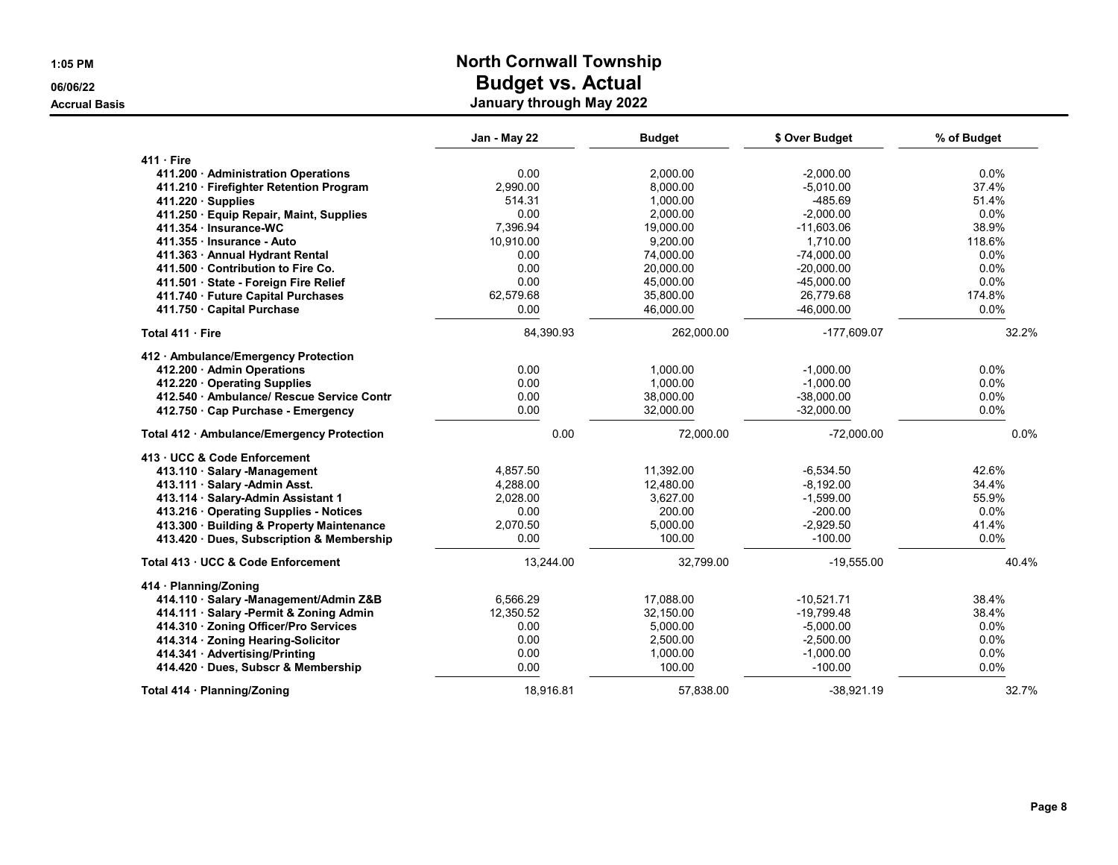| $1:05$ PM            | <b>North Cornwall Township</b> |  |
|----------------------|--------------------------------|--|
| 06/06/22             | <b>Budget vs. Actual</b>       |  |
| <b>Accrual Basis</b> | January through May 2022       |  |

|                                            | Jan - May 22 | <b>Budget</b> | \$ Over Budget | % of Budget |
|--------------------------------------------|--------------|---------------|----------------|-------------|
| $411 \cdot$ Fire                           |              |               |                |             |
| 411.200 Administration Operations          | 0.00         | 2,000.00      | $-2,000.00$    | 0.0%        |
| 411.210 · Firefighter Retention Program    | 2,990.00     | 8,000.00      | $-5,010.00$    | 37.4%       |
| $411.220 \cdot$ Supplies                   | 514.31       | 1.000.00      | $-485.69$      | 51.4%       |
| 411.250 · Equip Repair, Maint, Supplies    | 0.00         | 2,000.00      | $-2,000.00$    | 0.0%        |
| 411.354 · Insurance-WC                     | 7.396.94     | 19.000.00     | $-11.603.06$   | 38.9%       |
| 411.355 · Insurance - Auto                 | 10,910.00    | 9,200.00      | 1,710.00       | 118.6%      |
| 411.363 Annual Hydrant Rental              | 0.00         | 74,000.00     | $-74.000.00$   | 0.0%        |
| 411.500 Contribution to Fire Co.           | 0.00         | 20,000.00     | $-20,000.00$   | 0.0%        |
| 411.501 · State - Foreign Fire Relief      | 0.00         | 45,000.00     | $-45,000.00$   | 0.0%        |
| 411.740 · Future Capital Purchases         | 62,579.68    | 35,800.00     | 26,779.68      | 174.8%      |
| 411.750 Capital Purchase                   | 0.00         | 46,000.00     | $-46.000.00$   | 0.0%        |
| Total 411 Fire                             | 84,390.93    | 262,000.00    | -177,609.07    | 32.2%       |
| 412 • Ambulance/Emergency Protection       |              |               |                |             |
| 412.200 · Admin Operations                 | 0.00         | 1,000.00      | $-1,000.00$    | $0.0\%$     |
| 412.220 Operating Supplies                 | 0.00         | 1.000.00      | $-1,000.00$    | 0.0%        |
| 412.540 Ambulance/ Rescue Service Contr    | 0.00         | 38,000.00     | $-38,000.00$   | $0.0\%$     |
| 412.750 Cap Purchase - Emergency           | 0.00         | 32,000.00     | $-32,000.00$   | 0.0%        |
| Total 412 · Ambulance/Emergency Protection | 0.00         | 72,000.00     | $-72,000.00$   | 0.0%        |
| 413 · UCC & Code Enforcement               |              |               |                |             |
| 413.110 · Salary -Management               | 4.857.50     | 11.392.00     | $-6.534.50$    | 42.6%       |
| 413.111 · Salary - Admin Asst.             | 4,288.00     | 12,480.00     | $-8,192.00$    | 34.4%       |
| 413.114 Salary-Admin Assistant 1           | 2,028.00     | 3.627.00      | $-1,599.00$    | 55.9%       |
| 413.216 Operating Supplies - Notices       | 0.00         | 200.00        | $-200.00$      | 0.0%        |
| 413.300 · Building & Property Maintenance  | 2,070.50     | 5,000.00      | $-2,929.50$    | 41.4%       |
| 413.420 · Dues, Subscription & Membership  | 0.00         | 100.00        | $-100.00$      | 0.0%        |
| Total 413 · UCC & Code Enforcement         | 13,244.00    | 32,799.00     | $-19,555.00$   | 40.4%       |
| 414 · Planning/Zoning                      |              |               |                |             |
| 414.110 · Salary -Management/Admin Z&B     | 6,566.29     | 17,088.00     | $-10,521.71$   | 38.4%       |
| 414.111 · Salary -Permit & Zoning Admin    | 12,350.52    | 32,150.00     | $-19,799.48$   | 38.4%       |
| 414.310 · Zoning Officer/Pro Services      | 0.00         | 5,000.00      | $-5,000.00$    | $0.0\%$     |
| 414.314 · Zoning Hearing-Solicitor         | 0.00         | 2,500.00      | $-2,500.00$    | 0.0%        |
| 414.341 Advertising/Printing               | 0.00         | 1,000.00      | $-1,000.00$    | $0.0\%$     |
| 414.420 Dues, Subscr & Membership          | 0.00         | 100.00        | $-100.00$      | 0.0%        |
| Total 414 · Planning/Zoning                | 18.916.81    | 57.838.00     | $-38.921.19$   | 32.7%       |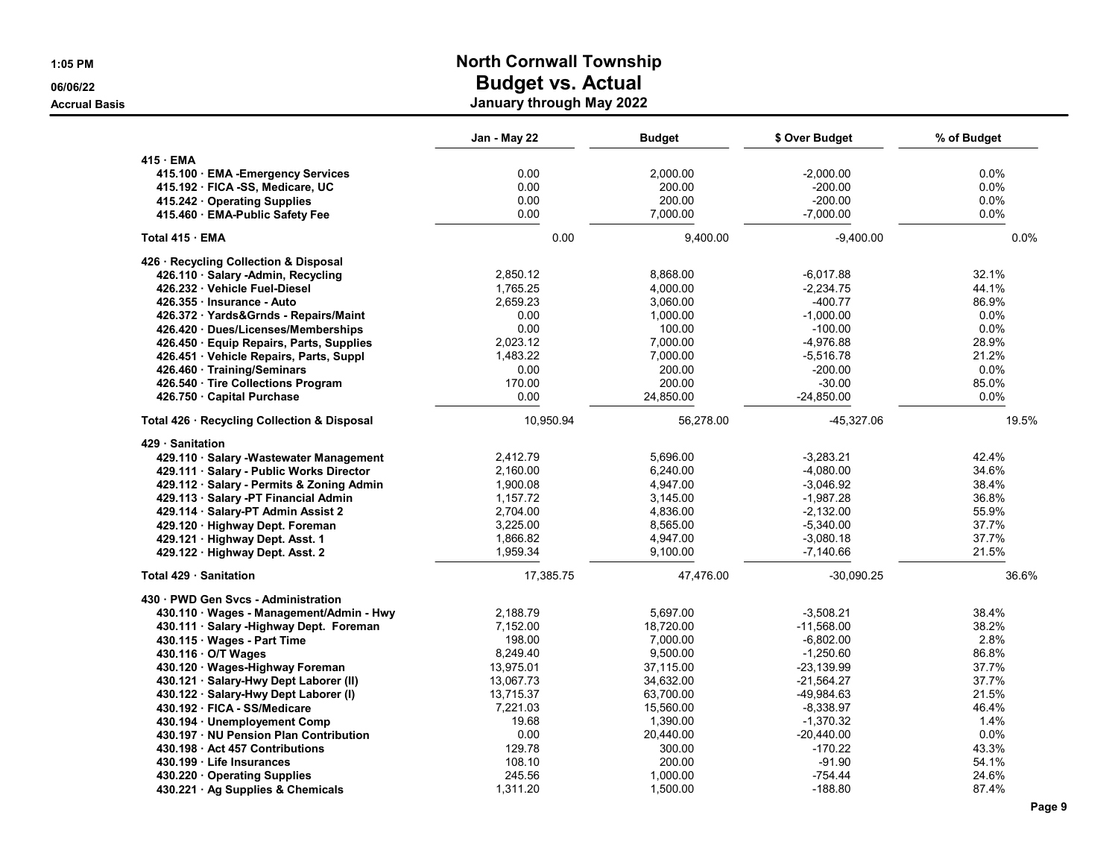| 1:05 PM                          |                                                               | <b>North Cornwall Township</b> |                    |                          |              |  |
|----------------------------------|---------------------------------------------------------------|--------------------------------|--------------------|--------------------------|--------------|--|
| 06/06/22<br><b>Accrual Basis</b> | <b>Budget vs. Actual</b><br>January through May 2022          |                                |                    |                          |              |  |
|                                  |                                                               | Jan - May 22                   | <b>Budget</b>      | \$ Over Budget           | % of Budget  |  |
|                                  | 415 · EMA                                                     |                                |                    |                          |              |  |
|                                  | 415.100 · EMA - Emergency Services                            | 0.00                           | 2,000.00           | $-2,000.00$              | 0.0%         |  |
|                                  | 415.192 · FICA -SS, Medicare, UC                              | 0.00                           | 200.00             | $-200.00$                | 0.0%         |  |
|                                  | 415.242 Operating Supplies<br>415.460 · EMA-Public Safety Fee | 0.00<br>0.00                   | 200.00<br>7,000.00 | $-200.00$<br>$-7,000.00$ | 0.0%<br>0.0% |  |
|                                  |                                                               |                                |                    |                          |              |  |
|                                  | Total 415 · EMA                                               | 0.00                           | 9,400.00           | $-9,400.00$              | $0.0\%$      |  |
|                                  | 426 · Recycling Collection & Disposal                         |                                |                    |                          |              |  |
|                                  | 426.110 · Salary -Admin, Recycling                            | 2,850.12                       | 8,868.00           | $-6,017.88$              | 32.1%        |  |
|                                  | 426.232 · Vehicle Fuel-Diesel                                 | 1,765.25                       | 4,000.00           | $-2,234.75$              | 44.1%        |  |
|                                  | 426.355 · Insurance - Auto                                    | 2,659.23                       | 3,060.00           | $-400.77$                | 86.9%        |  |
|                                  | 426.372 Yards&Grnds - Repairs/Maint                           | 0.00                           | 1,000.00           | $-1,000.00$              | 0.0%         |  |
|                                  | 426.420 Dues/Licenses/Memberships                             | 0.00                           | 100.00             | $-100.00$                | 0.0%         |  |
|                                  | 426.450 · Equip Repairs, Parts, Supplies                      | 2,023.12                       | 7,000.00           | $-4,976.88$              | 28.9%        |  |
|                                  | 426.451 Vehicle Repairs, Parts, Suppl                         | 1,483.22                       | 7,000.00           | $-5,516.78$              | 21.2%        |  |
|                                  | 426.460 · Training/Seminars                                   | 0.00                           | 200.00             | $-200.00$                | 0.0%         |  |
|                                  | 426.540 Tire Collections Program                              | 170.00                         | 200.00             | $-30.00$                 | 85.0%        |  |
|                                  | 426.750 Capital Purchase                                      | 0.00                           | 24,850.00          | $-24,850.00$             | $0.0\%$      |  |
|                                  | Total 426 · Recycling Collection & Disposal                   | 10,950.94                      | 56,278.00          | -45,327.06               | 19.5%        |  |
|                                  | 429 Sanitation                                                |                                |                    |                          |              |  |
|                                  | 429.110 · Salary -Wastewater Management                       | 2,412.79                       | 5,696.00           | $-3,283.21$              | 42.4%        |  |
|                                  | 429.111 · Salary - Public Works Director                      | 2,160.00                       | 6,240.00           | $-4,080.00$              | 34.6%        |  |
|                                  | 429.112 · Salary - Permits & Zoning Admin                     | 1,900.08                       | 4,947.00           | $-3,046.92$              | 38.4%        |  |
|                                  | 429.113 · Salary -PT Financial Admin                          | 1,157.72                       | 3,145.00           | $-1,987.28$              | 36.8%        |  |
|                                  | 429.114 · Salary-PT Admin Assist 2                            | 2,704.00                       | 4,836.00           | $-2,132.00$              | 55.9%        |  |
|                                  | 429.120 · Highway Dept. Foreman                               | 3,225.00                       | 8,565.00           | $-5,340.00$              | 37.7%        |  |
|                                  | 429.121 · Highway Dept. Asst. 1                               | 1,866.82                       | 4,947.00           | $-3,080.18$              | 37.7%        |  |
|                                  | 429.122 · Highway Dept. Asst. 2                               | 1,959.34                       | 9,100.00           | $-7,140.66$              | 21.5%        |  |
|                                  | Total 429 · Sanitation                                        | 17,385.75                      | 47,476.00          | $-30,090.25$             | 36.6%        |  |
|                                  | 430 · PWD Gen Svcs - Administration                           |                                |                    |                          |              |  |
|                                  | 430.110 · Wages - Management/Admin - Hwy                      | 2,188.79                       | 5,697.00           | $-3,508.21$              | 38.4%        |  |
|                                  | 430.111 · Salary - Highway Dept. Foreman                      | 7,152.00                       | 18,720.00          | $-11,568.00$             | 38.2%        |  |
|                                  | 430.115 · Wages - Part Time                                   | 198.00                         | 7,000.00           | $-6,802.00$              | 2.8%         |  |
|                                  | 430.116 · O/T Wages                                           | 8,249.40                       | 9,500.00           | $-1,250.60$              | 86.8%        |  |
|                                  | 430.120 · Wages-Highway Foreman                               | 13,975.01                      | 37,115.00          | $-23,139.99$             | 37.7%        |  |
|                                  | 430.121 · Salary-Hwy Dept Laborer (II)                        | 13,067.73                      | 34,632.00          | $-21,564.27$             | 37.7%        |  |
|                                  | 430.122 · Salary-Hwy Dept Laborer (I)                         | 13,715.37                      | 63,700.00          | -49,984.63               | 21.5%        |  |
|                                  | 430.192 · FICA - SS/Medicare                                  | 7,221.03                       | 15,560.00          | $-8,338.97$              | 46.4%        |  |
|                                  | 430.194 · Unemployement Comp                                  | 19.68                          | 1,390.00           | $-1,370.32$              | 1.4%         |  |
|                                  | 430.197 · NU Pension Plan Contribution                        | 0.00                           | 20,440.00          | $-20,440.00$             | 0.0%         |  |
|                                  | 430.198 · Act 457 Contributions                               | 129.78                         | 300.00             | -170.22                  | 43.3%        |  |
|                                  | 430.199 · Life Insurances                                     | 108.10                         | 200.00             | $-91.90$                 | 54.1%        |  |
|                                  | 430.220 Operating Supplies                                    | 245.56                         | 1,000.00           | $-754.44$                | 24.6%        |  |
|                                  | 430.221 · Ag Supplies & Chemicals                             | 1,311.20                       | 1,500.00           | $-188.80$                | 87.4%        |  |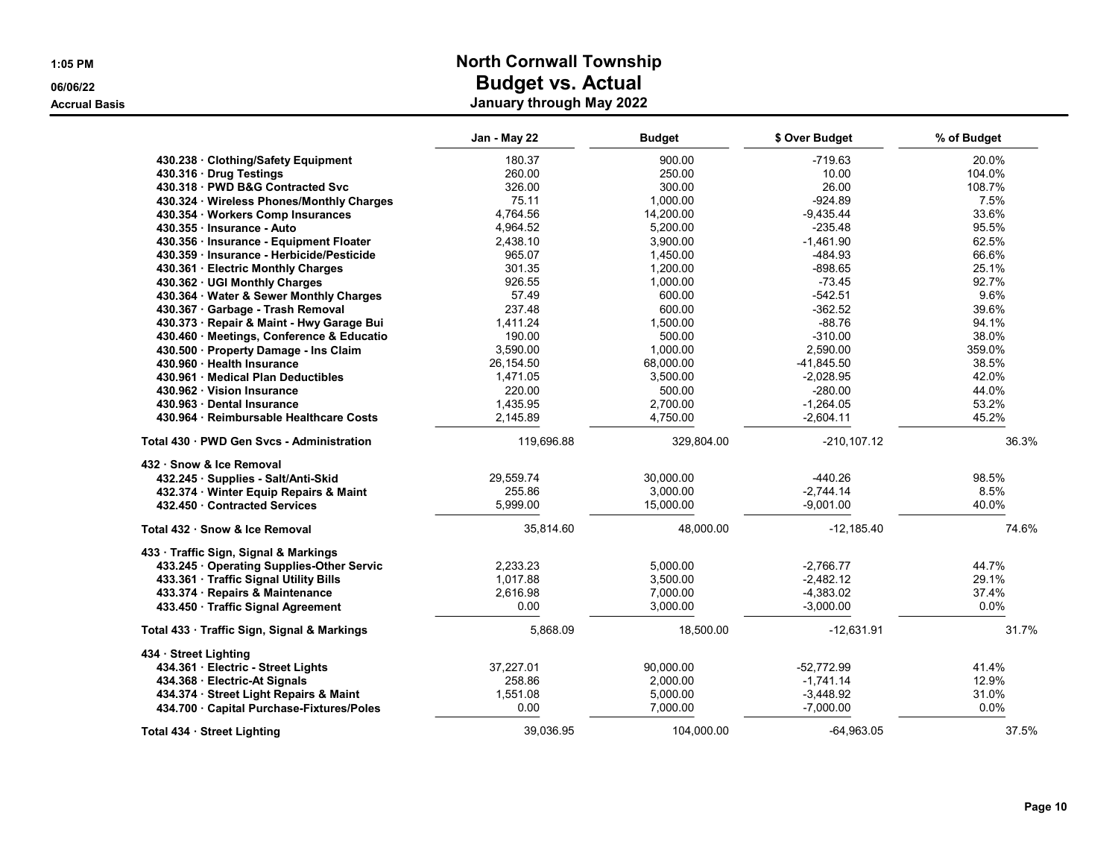|                                                                                     | Jan - May 22 | <b>Budget</b> | \$ Over Budget | % of Budget |
|-------------------------------------------------------------------------------------|--------------|---------------|----------------|-------------|
| 430.238 Clothing/Safety Equipment                                                   | 180.37       | 900.00        | $-719.63$      | 20.0%       |
| 430.316 · Drug Testings                                                             | 260.00       | 250.00        | 10.00          | 104.0%      |
| 430.318 PWD B&G Contracted Svc                                                      | 326.00       | 300.00        | 26.00          | 108.7%      |
| 430.324 · Wireless Phones/Monthly Charges                                           | 75.11        | 1,000.00      | $-924.89$      | 7.5%        |
| 430.354 · Workers Comp Insurances                                                   | 4,764.56     | 14,200.00     | $-9,435.44$    | 33.6%       |
| 430.355 · Insurance - Auto                                                          | 4,964.52     | 5,200.00      | $-235.48$      | 95.5%       |
| 430.356 · Insurance - Equipment Floater                                             | 2,438.10     | 3,900.00      | $-1,461.90$    | 62.5%       |
| 430.359 Insurance - Herbicide/Pesticide                                             | 965.07       | 1,450.00      | -484.93        | 66.6%       |
| 430.361 · Electric Monthly Charges                                                  | 301.35       | 1,200.00      | $-898.65$      | 25.1%       |
| 430.362 · UGI Monthly Charges                                                       | 926.55       | 1,000.00      | $-73.45$       | 92.7%       |
| 430.364 · Water & Sewer Monthly Charges                                             | 57.49        | 600.00        | -542.51        | 9.6%        |
| 430.367 · Garbage - Trash Removal                                                   | 237.48       | 600.00        | $-362.52$      | 39.6%       |
| 430.373 · Repair & Maint - Hwy Garage Bui                                           | 1,411.24     | 1,500.00      | $-88.76$       | 94.1%       |
| 430.460 · Meetings, Conference & Educatio                                           | 190.00       | 500.00        | $-310.00$      | 38.0%       |
| 430.500 · Property Damage - Ins Claim                                               | 3,590.00     | 1,000.00      | 2,590.00       | 359.0%      |
| 430.960 · Health Insurance                                                          | 26,154.50    | 68.000.00     | $-41,845.50$   | 38.5%       |
| 430.961 Medical Plan Deductibles                                                    | 1,471.05     | 3,500.00      | $-2,028.95$    | 42.0%       |
| 430.962 · Vision Insurance                                                          | 220.00       | 500.00        | $-280.00$      | 44.0%       |
| 430.963 Dental Insurance                                                            | 1,435.95     | 2.700.00      | $-1.264.05$    | 53.2%       |
| 430.964 · Reimbursable Healthcare Costs                                             | 2,145.89     | 4,750.00      | $-2,604.11$    | 45.2%       |
| Total 430 · PWD Gen Svcs - Administration                                           | 119,696.88   | 329,804.00    | $-210, 107.12$ | 36.3%       |
| 432 · Snow & Ice Removal                                                            |              |               |                |             |
| 432.245 · Supplies - Salt/Anti-Skid                                                 | 29,559.74    | 30,000.00     | $-440.26$      | 98.5%       |
| 432.374 Winter Equip Repairs & Maint                                                | 255.86       | 3,000.00      | $-2.744.14$    | 8.5%        |
| 432.450 Contracted Services                                                         | 5,999.00     | 15,000.00     | $-9,001.00$    | 40.0%       |
| Total 432 · Snow & Ice Removal                                                      | 35,814.60    | 48,000.00     | $-12,185.40$   | 74.6%       |
| 433 · Traffic Sign, Signal & Markings                                               |              |               |                |             |
| 433.245 Operating Supplies-Other Servic                                             | 2,233.23     | 5,000.00      | $-2,766.77$    | 44.7%       |
| 433.361 · Traffic Signal Utility Bills                                              | 1,017.88     | 3,500.00      | $-2,482.12$    | 29.1%       |
| 433.374 · Repairs & Maintenance                                                     | 2,616.98     | 7,000.00      | $-4,383.02$    | 37.4%       |
| 433.450 · Traffic Signal Agreement                                                  | 0.00         | 3,000.00      | $-3,000.00$    | 0.0%        |
| Total 433 · Traffic Sign, Signal & Markings                                         | 5,868.09     | 18,500.00     | $-12,631.91$   | 31.7%       |
| 434 · Street Lighting                                                               |              |               |                |             |
| 434.361 · Electric - Street Lights                                                  | 37,227.01    | 90,000.00     | $-52,772.99$   | 41.4%       |
| 434.368 · Electric-At Signals                                                       | 258.86       | 2,000.00      | $-1,741.14$    | 12.9%       |
|                                                                                     | 1,551.08     | 5,000.00      | $-3,448.92$    | 31.0%       |
|                                                                                     |              |               |                |             |
| 434.374 · Street Light Repairs & Maint<br>434.700 · Capital Purchase-Fixtures/Poles | 0.00         | 7,000.00      | $-7,000.00$    | 0.0%        |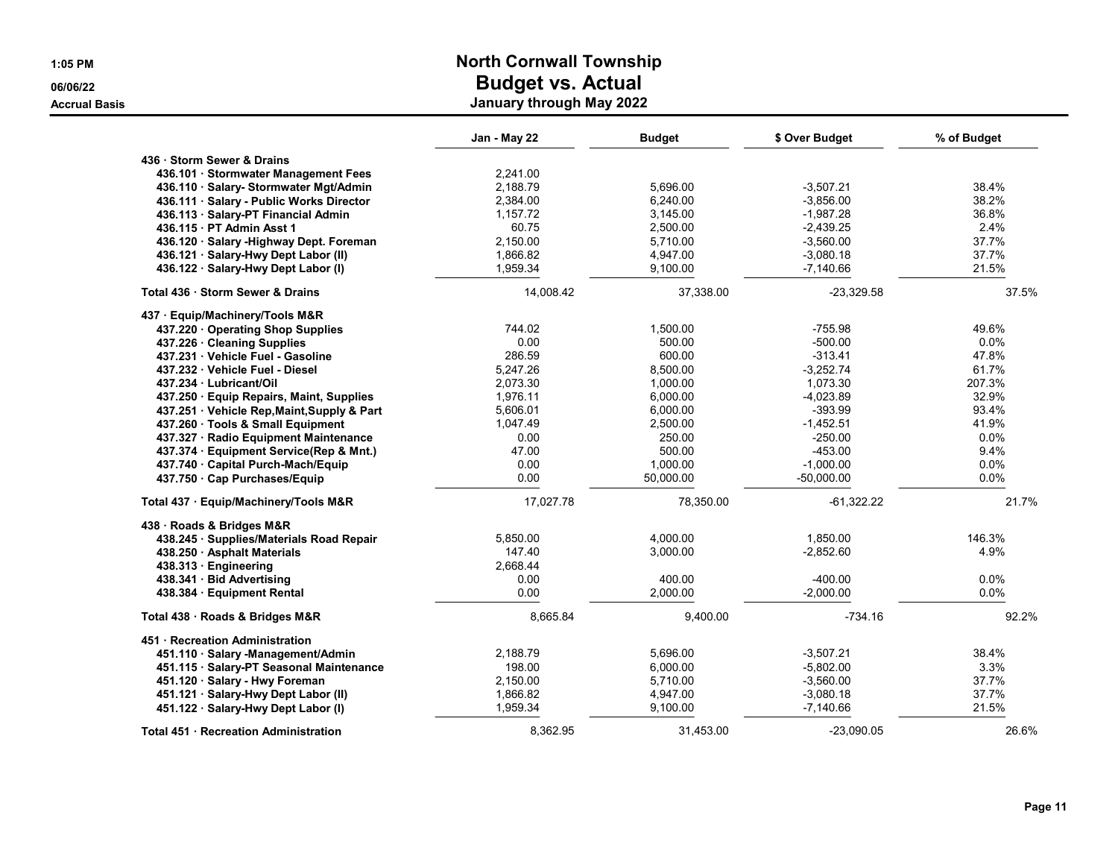|                                              | Jan - May 22 | <b>Budget</b> | \$ Over Budget | % of Budget |
|----------------------------------------------|--------------|---------------|----------------|-------------|
| 436 · Storm Sewer & Drains                   |              |               |                |             |
| 436.101 · Stormwater Management Fees         | 2,241.00     |               |                |             |
| 436.110 · Salary- Stormwater Mgt/Admin       | 2.188.79     | 5,696.00      | $-3,507.21$    | 38.4%       |
| 436.111 · Salary - Public Works Director     | 2,384.00     | 6,240.00      | $-3,856.00$    | 38.2%       |
| 436.113 · Salary-PT Financial Admin          | 1,157.72     | 3,145.00      | $-1,987.28$    | 36.8%       |
| 436.115 · PT Admin Asst 1                    | 60.75        | 2,500.00      | $-2,439.25$    | 2.4%        |
| 436.120 · Salary - Highway Dept. Foreman     | 2,150.00     | 5,710.00      | $-3,560.00$    | 37.7%       |
| 436.121 · Salary-Hwy Dept Labor (II)         | 1,866.82     | 4,947.00      | $-3,080.18$    | 37.7%       |
| 436.122 · Salary-Hwy Dept Labor (I)          | 1,959.34     | 9,100.00      | -7,140.66      | 21.5%       |
| Total 436 · Storm Sewer & Drains             | 14,008.42    | 37,338.00     | $-23,329.58$   | 37.5%       |
| 437 · Equip/Machinery/Tools M&R              |              |               |                |             |
| 437.220 Operating Shop Supplies              | 744.02       | 1.500.00      | $-755.98$      | 49.6%       |
| 437.226 · Cleaning Supplies                  | 0.00         | 500.00        | $-500.00$      | 0.0%        |
| 437.231 Vehicle Fuel - Gasoline              | 286.59       | 600.00        | $-313.41$      | 47.8%       |
| 437.232 Vehicle Fuel - Diesel                | 5,247.26     | 8,500.00      | $-3,252.74$    | 61.7%       |
| 437.234 Lubricant/Oil                        | 2,073.30     | 1,000.00      | 1,073.30       | 207.3%      |
| 437.250 · Equip Repairs, Maint, Supplies     | 1,976.11     | 6.000.00      | -4.023.89      | 32.9%       |
| 437.251 Vehicle Rep, Maint, Supply & Part    | 5,606.01     | 6,000.00      | $-393.99$      | 93.4%       |
| 437.260 Tools & Small Equipment              | 1,047.49     | 2,500.00      | $-1,452.51$    | 41.9%       |
| 437.327 · Radio Equipment Maintenance        | 0.00         | 250.00        | $-250.00$      | 0.0%        |
| 437.374 · Equipment Service(Rep & Mnt.)      | 47.00        | 500.00        | $-453.00$      | 9.4%        |
| 437.740 Capital Purch-Mach/Equip             | 0.00         | 1,000.00      | $-1.000.00$    | $0.0\%$     |
| 437.750 · Cap Purchases/Equip                | 0.00         | 50,000.00     | $-50,000.00$   | 0.0%        |
| Total 437 · Equip/Machinery/Tools M&R        | 17,027.78    | 78,350.00     | $-61,322.22$   | 21.7%       |
| 438 · Roads & Bridges M&R                    |              |               |                |             |
| 438.245 · Supplies/Materials Road Repair     | 5,850.00     | 4,000.00      | 1.850.00       | 146.3%      |
| 438.250 · Asphalt Materials                  | 147.40       | 3,000.00      | $-2,852.60$    | 4.9%        |
| 438.313 Engineering                          | 2.668.44     |               |                |             |
| 438.341 · Bid Advertising                    | 0.00         | 400.00        | $-400.00$      | 0.0%        |
| 438.384 · Equipment Rental                   | 0.00         | 2,000.00      | $-2,000.00$    | 0.0%        |
| Total 438 · Roads & Bridges M&R              | 8,665.84     | 9,400.00      | $-734.16$      | 92.2%       |
| 451 · Recreation Administration              |              |               |                |             |
| 451.110 · Salary -Management/Admin           | 2,188.79     | 5,696.00      | $-3,507.21$    | 38.4%       |
| 451.115 · Salary-PT Seasonal Maintenance     | 198.00       | 6,000.00      | $-5,802.00$    | 3.3%        |
| 451.120 · Salary - Hwy Foreman               | 2,150.00     | 5,710.00      | $-3,560.00$    | 37.7%       |
| 451.121 · Salary-Hwy Dept Labor (II)         | 1,866.82     | 4,947.00      | $-3,080.18$    | 37.7%       |
| 451.122 · Salary-Hwy Dept Labor (I)          | 1,959.34     | 9,100.00      | $-7,140.66$    | 21.5%       |
| <b>Total 451 · Recreation Administration</b> | 8,362.95     | 31,453.00     | $-23,090.05$   | 26.6%       |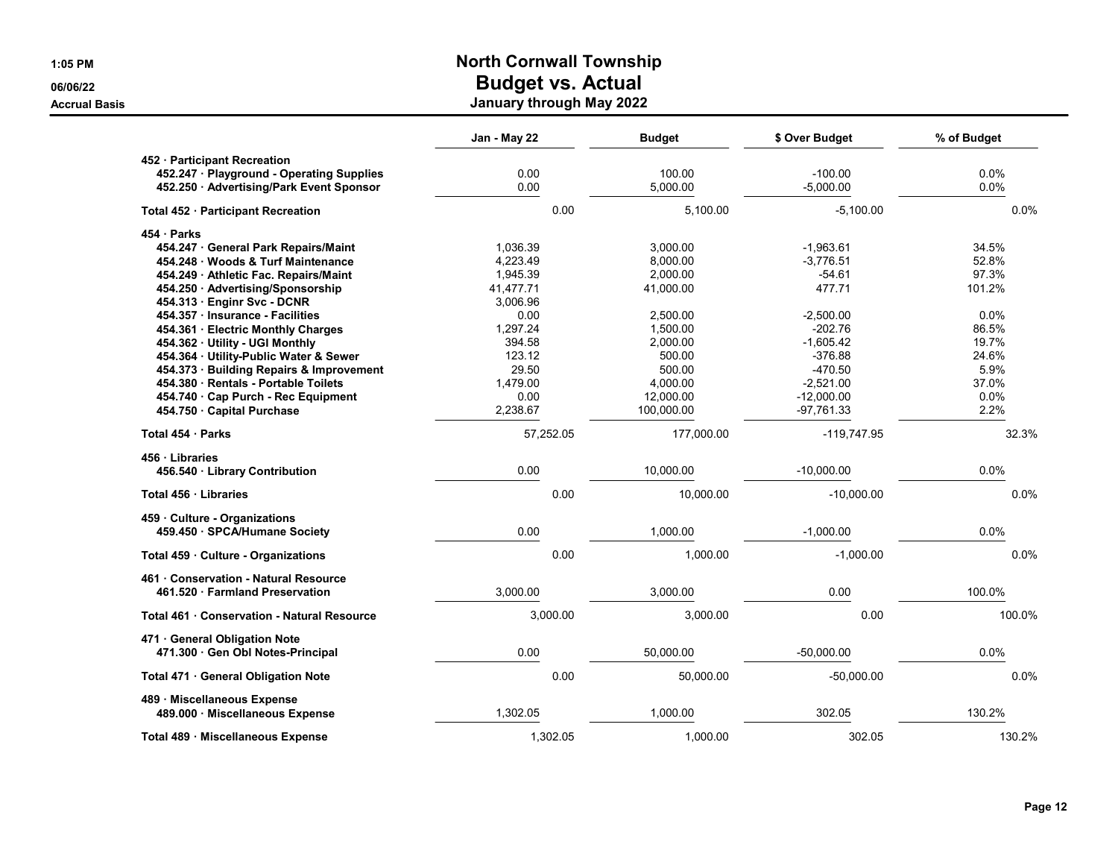|                                                 | Jan - May 22 | <b>Budget</b> | \$ Over Budget | % of Budget |
|-------------------------------------------------|--------------|---------------|----------------|-------------|
| 452 · Participant Recreation                    |              |               |                |             |
| 452.247 · Playground - Operating Supplies       | 0.00         | 100.00        | $-100.00$      | 0.0%        |
| 452.250 · Advertising/Park Event Sponsor        | 0.00         | 5.000.00      | $-5.000.00$    | 0.0%        |
| Total 452 · Participant Recreation              | 0.00         | 5.100.00      | $-5.100.00$    | 0.0%        |
| 454 · Parks                                     |              |               |                |             |
| 454.247 General Park Repairs/Maint              | 1,036.39     | 3,000.00      | $-1,963.61$    | 34.5%       |
| 454.248 · Woods & Turf Maintenance              | 4,223.49     | 8,000.00      | $-3,776.51$    | 52.8%       |
| 454.249 · Athletic Fac. Repairs/Maint           | 1,945.39     | 2,000.00      | $-54.61$       | 97.3%       |
| 454.250 · Advertising/Sponsorship               | 41,477.71    | 41,000.00     | 477.71         | 101.2%      |
| 454.313 · Enginr Svc - DCNR                     | 3.006.96     |               |                |             |
| 454.357 · Insurance - Facilities                | 0.00         | 2,500.00      | $-2,500.00$    | 0.0%        |
| 454.361 · Electric Monthly Charges              | 1,297.24     | 1,500.00      | $-202.76$      | 86.5%       |
| 454.362 · Utility - UGI Monthly                 | 394.58       | 2,000.00      | $-1,605.42$    | 19.7%       |
| 454.364 · Utility-Public Water & Sewer          | 123.12       | 500.00        | $-376.88$      | 24.6%       |
| 454.373 · Building Repairs & Improvement        | 29.50        | 500.00        | $-470.50$      | 5.9%        |
| 454.380 · Rentals - Portable Toilets            | 1,479.00     | 4,000.00      | $-2,521.00$    | 37.0%       |
| 454.740 Cap Purch - Rec Equipment               | 0.00         | 12,000.00     | $-12,000.00$   | 0.0%        |
| 454.750 Capital Purchase                        | 2,238.67     | 100,000.00    | -97,761.33     | 2.2%        |
| Total 454 · Parks                               | 57,252.05    | 177,000.00    | $-119,747.95$  | 32.3%       |
| 456 Libraries<br>456.540 · Library Contribution | 0.00         | 10,000.00     | $-10,000.00$   | 0.0%        |
| Total 456 · Libraries                           | 0.00         | 10,000.00     | $-10,000.00$   | 0.0%        |
| 459 Culture - Organizations                     |              |               |                |             |
| 459.450 · SPCA/Humane Society                   | 0.00         | 1,000.00      | $-1,000.00$    | 0.0%        |
| Total 459 · Culture - Organizations             | 0.00         | 1,000.00      | $-1,000.00$    | 0.0%        |
| 461 Conservation - Natural Resource             |              |               |                |             |
| 461.520 · Farmland Preservation                 | 3,000.00     | 3,000.00      | 0.00           | 100.0%      |
| Total 461 · Conservation - Natural Resource     | 3,000.00     | 3,000.00      | 0.00           | 100.0%      |
| 471 General Obligation Note                     |              |               |                |             |
| 471.300 Gen Obl Notes-Principal                 | 0.00         | 50,000.00     | $-50,000.00$   | 0.0%        |
| Total 471 · General Obligation Note             | 0.00         | 50,000.00     | $-50,000.00$   | 0.0%        |
| 489 · Miscellaneous Expense                     | 1,302.05     | 1,000.00      | 302.05         | 130.2%      |
| 489.000 · Miscellaneous Expense                 |              |               |                |             |
| Total 489 · Miscellaneous Expense               | 1,302.05     | 1,000.00      | 302.05         | 130.2%      |